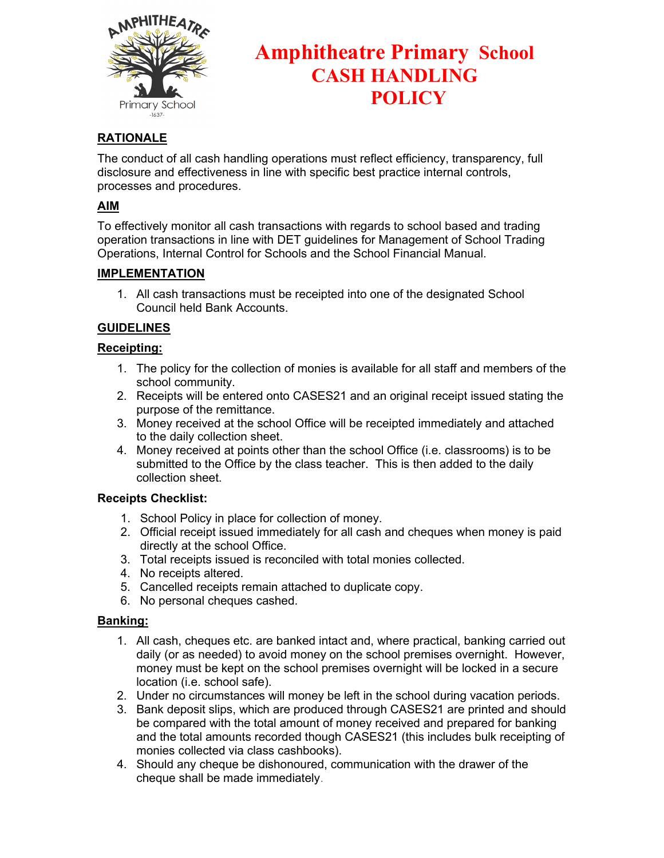

# **Amphitheatre Primary School CASH HANDLING POLICY**

# **RATIONALE**

The conduct of all cash handling operations must reflect efficiency, transparency, full disclosure and effectiveness in line with specific best practice internal controls, processes and procedures.

## **AIM**

To effectively monitor all cash transactions with regards to school based and trading operation transactions in line with DET guidelines for Management of School Trading Operations, Internal Control for Schools and the School Financial Manual.

## **IMPLEMENTATION**

1. All cash transactions must be receipted into one of the designated School Council held Bank Accounts.

## **GUIDELINES**

## **Receipting:**

- 1. The policy for the collection of monies is available for all staff and members of the school community.
- 2. Receipts will be entered onto CASES21 and an original receipt issued stating the purpose of the remittance.
- 3. Money received at the school Office will be receipted immediately and attached to the daily collection sheet.
- 4. Money received at points other than the school Office (i.e. classrooms) is to be submitted to the Office by the class teacher. This is then added to the daily collection sheet.

#### **Receipts Checklist:**

- 1. School Policy in place for collection of money.
- 2. Official receipt issued immediately for all cash and cheques when money is paid directly at the school Office.
- 3. Total receipts issued is reconciled with total monies collected.
- 4. No receipts altered.
- 5. Cancelled receipts remain attached to duplicate copy.
- 6. No personal cheques cashed.

## **Banking:**

- 1. All cash, cheques etc. are banked intact and, where practical, banking carried out daily (or as needed) to avoid money on the school premises overnight. However, money must be kept on the school premises overnight will be locked in a secure location (i.e. school safe).
- 2. Under no circumstances will money be left in the school during vacation periods.
- 3. Bank deposit slips, which are produced through CASES21 are printed and should be compared with the total amount of money received and prepared for banking and the total amounts recorded though CASES21 (this includes bulk receipting of monies collected via class cashbooks).
- 4. Should any cheque be dishonoured, communication with the drawer of the cheque shall be made immediately.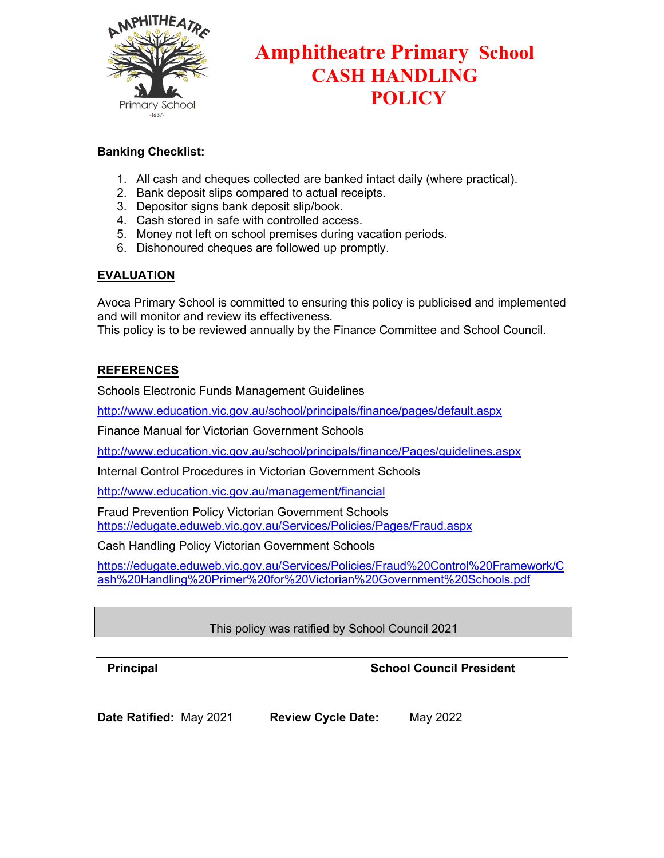

# **Amphitheatre Primary School CASH HANDLING POLICY**

## **Banking Checklist:**

- 1. All cash and cheques collected are banked intact daily (where practical).
- 2. Bank deposit slips compared to actual receipts.
- 3. Depositor signs bank deposit slip/book.
- 4. Cash stored in safe with controlled access.
- 5. Money not left on school premises during vacation periods.
- 6. Dishonoured cheques are followed up promptly.

# **EVALUATION**

Avoca Primary School is committed to ensuring this policy is publicised and implemented and will monitor and review its effectiveness.

This policy is to be reviewed annually by the Finance Committee and School Council.

## **REFERENCES**

Schools Electronic Funds Management Guidelines

<http://www.education.vic.gov.au/school/principals/finance/pages/default.aspx>

Finance Manual for Victorian Government Schools

<http://www.education.vic.gov.au/school/principals/finance/Pages/guidelines.aspx>

Internal Control Procedures in Victorian Government Schools

<http://www.education.vic.gov.au/management/financial>

Fraud Prevention Policy Victorian Government Schools <https://edugate.eduweb.vic.gov.au/Services/Policies/Pages/Fraud.aspx>

Cash Handling Policy Victorian Government Schools

[https://edugate.eduweb.vic.gov.au/Services/Policies/Fraud%20Control%20Framework/C](https://edugate.eduweb.vic.gov.au/Services/Policies/Fraud%20Control%20Framework/Cash%20Handling%20Primer%20for%20Victorian%20Government%20Schools.pdf) [ash%20Handling%20Primer%20for%20Victorian%20Government%20Schools.pdf](https://edugate.eduweb.vic.gov.au/Services/Policies/Fraud%20Control%20Framework/Cash%20Handling%20Primer%20for%20Victorian%20Government%20Schools.pdf)

# This policy was ratified by School Council 2021

# **Principal Council President Council President**

**Date Ratified:** May 2021 **Review Cycle Date:** May 2022